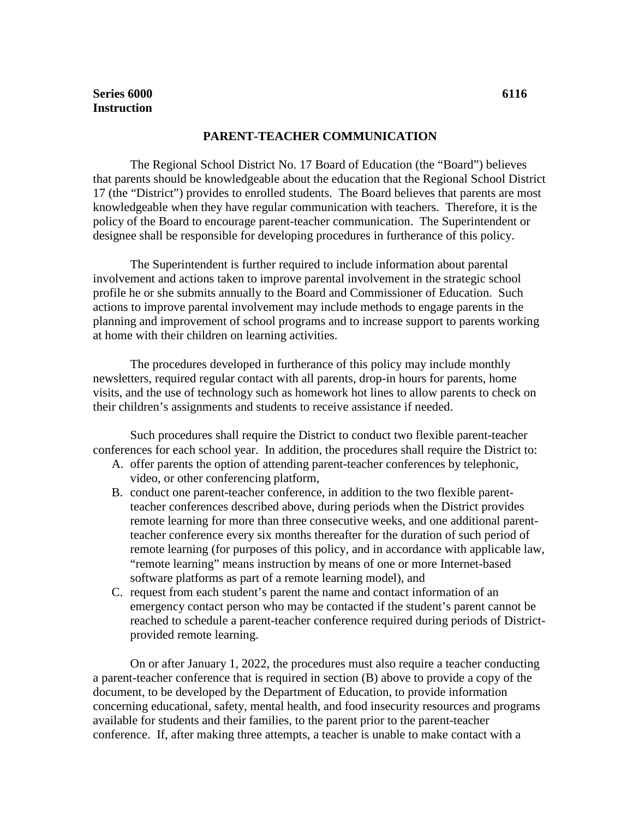## **PARENT-TEACHER COMMUNICATION**

The Regional School District No. 17 Board of Education (the "Board") believes that parents should be knowledgeable about the education that the Regional School District 17 (the "District") provides to enrolled students. The Board believes that parents are most knowledgeable when they have regular communication with teachers. Therefore, it is the policy of the Board to encourage parent-teacher communication. The Superintendent or designee shall be responsible for developing procedures in furtherance of this policy.

The Superintendent is further required to include information about parental involvement and actions taken to improve parental involvement in the strategic school profile he or she submits annually to the Board and Commissioner of Education. Such actions to improve parental involvement may include methods to engage parents in the planning and improvement of school programs and to increase support to parents working at home with their children on learning activities.

The procedures developed in furtherance of this policy may include monthly newsletters, required regular contact with all parents, drop-in hours for parents, home visits, and the use of technology such as homework hot lines to allow parents to check on their children's assignments and students to receive assistance if needed.

Such procedures shall require the District to conduct two flexible parent-teacher conferences for each school year. In addition, the procedures shall require the District to:

- A. offer parents the option of attending parent-teacher conferences by telephonic, video, or other conferencing platform,
- B. conduct one parent-teacher conference, in addition to the two flexible parentteacher conferences described above, during periods when the District provides remote learning for more than three consecutive weeks, and one additional parentteacher conference every six months thereafter for the duration of such period of remote learning (for purposes of this policy, and in accordance with applicable law, "remote learning" means instruction by means of one or more Internet-based software platforms as part of a remote learning model), and
- C. request from each student's parent the name and contact information of an emergency contact person who may be contacted if the student's parent cannot be reached to schedule a parent-teacher conference required during periods of Districtprovided remote learning.

On or after January 1, 2022, the procedures must also require a teacher conducting a parent-teacher conference that is required in section (B) above to provide a copy of the document, to be developed by the Department of Education, to provide information concerning educational, safety, mental health, and food insecurity resources and programs available for students and their families, to the parent prior to the parent-teacher conference. If, after making three attempts, a teacher is unable to make contact with a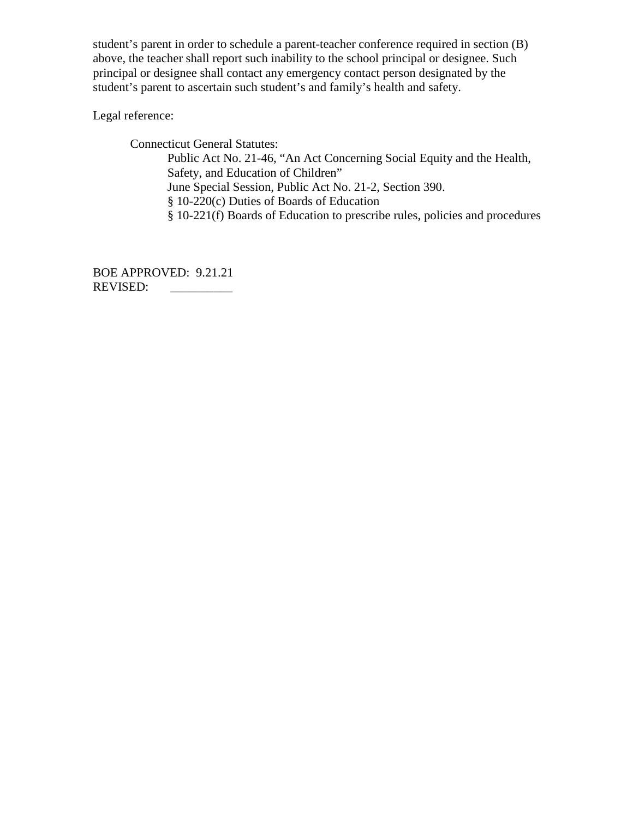student's parent in order to schedule a parent-teacher conference required in section (B) above, the teacher shall report such inability to the school principal or designee. Such principal or designee shall contact any emergency contact person designated by the student's parent to ascertain such student's and family's health and safety.

Legal reference:

Connecticut General Statutes:

Public Act No. 21-46, "An Act Concerning Social Equity and the Health, Safety, and Education of Children" June Special Session, Public Act No. 21-2, Section 390. § 10-220(c) Duties of Boards of Education

§ 10-221(f) Boards of Education to prescribe rules, policies and procedures

BOE APPROVED: 9.21.21 REVISED: \_\_\_\_\_\_\_\_\_\_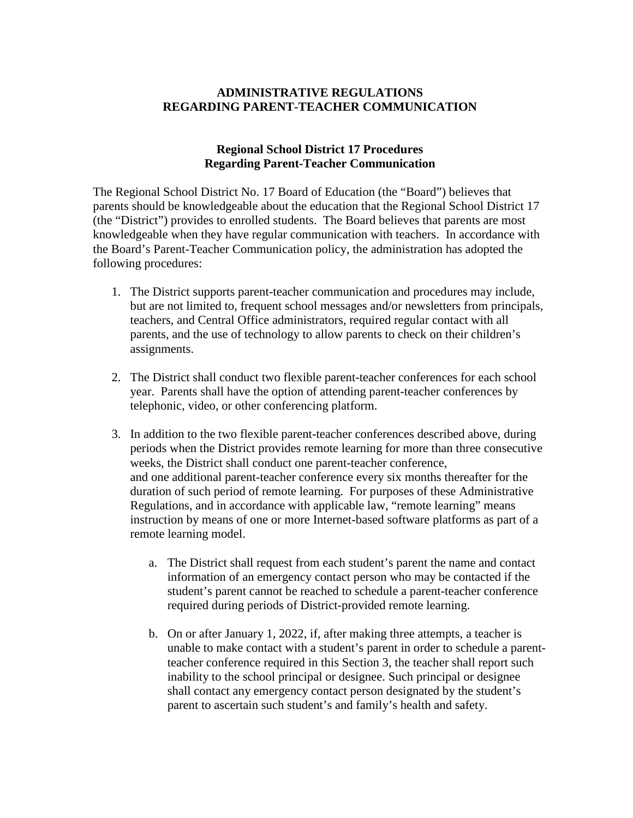## **ADMINISTRATIVE REGULATIONS REGARDING PARENT-TEACHER COMMUNICATION**

## **Regional School District 17 Procedures Regarding Parent-Teacher Communication**

The Regional School District No. 17 Board of Education (the "Board") believes that parents should be knowledgeable about the education that the Regional School District 17 (the "District") provides to enrolled students. The Board believes that parents are most knowledgeable when they have regular communication with teachers. In accordance with the Board's Parent-Teacher Communication policy, the administration has adopted the following procedures:

- 1. The District supports parent-teacher communication and procedures may include, but are not limited to, frequent school messages and/or newsletters from principals, teachers, and Central Office administrators, required regular contact with all parents, and the use of technology to allow parents to check on their children's assignments.
- 2. The District shall conduct two flexible parent-teacher conferences for each school year. Parents shall have the option of attending parent-teacher conferences by telephonic, video, or other conferencing platform.
- 3. In addition to the two flexible parent-teacher conferences described above, during periods when the District provides remote learning for more than three consecutive weeks, the District shall conduct one parent-teacher conference, and one additional parent-teacher conference every six months thereafter for the duration of such period of remote learning. For purposes of these Administrative Regulations, and in accordance with applicable law, "remote learning" means instruction by means of one or more Internet-based software platforms as part of a remote learning model.
	- a. The District shall request from each student's parent the name and contact information of an emergency contact person who may be contacted if the student's parent cannot be reached to schedule a parent-teacher conference required during periods of District-provided remote learning.
	- b. On or after January 1, 2022, if, after making three attempts, a teacher is unable to make contact with a student's parent in order to schedule a parentteacher conference required in this Section 3, the teacher shall report such inability to the school principal or designee. Such principal or designee shall contact any emergency contact person designated by the student's parent to ascertain such student's and family's health and safety.